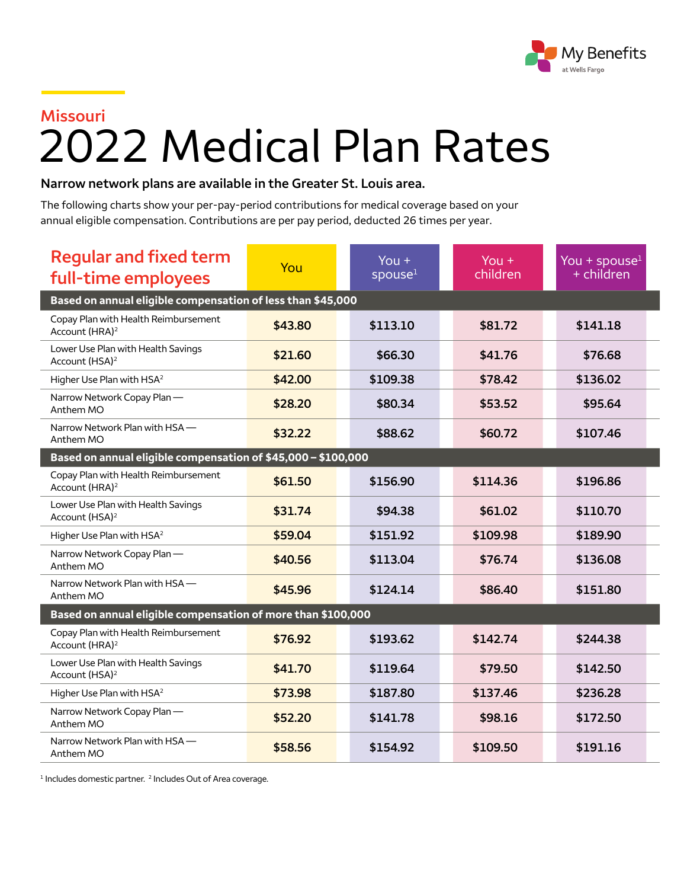

## **Missouri** 2022 Medical Plan Rates

## **Narrow network plans are available in the Greater St. Louis area.**

The following charts show your per-pay-period contributions for medical coverage based on your annual eligible compensation. Contributions are per pay period, deducted 26 times per year.

| <b>Regular and fixed term</b><br>full-time employees               | You     | You $+$<br>spouse <sup>1</sup> | $You +$<br>children | You + spouse $1$<br>+ children |  |  |  |
|--------------------------------------------------------------------|---------|--------------------------------|---------------------|--------------------------------|--|--|--|
| Based on annual eligible compensation of less than \$45,000        |         |                                |                     |                                |  |  |  |
| Copay Plan with Health Reimbursement<br>Account (HRA) <sup>2</sup> | \$43.80 | \$113.10                       | \$81.72             | \$141.18                       |  |  |  |
| Lower Use Plan with Health Savings<br>Account (HSA) <sup>2</sup>   | \$21.60 | \$66.30                        | \$41.76             | \$76.68                        |  |  |  |
| Higher Use Plan with HSA <sup>2</sup>                              | \$42.00 | \$109.38                       | \$78.42             | \$136.02                       |  |  |  |
| Narrow Network Copay Plan-<br>Anthem MO                            | \$28.20 | \$80.34                        | \$53.52             | \$95.64                        |  |  |  |
| Narrow Network Plan with HSA -<br>Anthem MO                        | \$32.22 | \$88.62                        | \$60.72             | \$107.46                       |  |  |  |
| Based on annual eligible compensation of \$45,000 - \$100,000      |         |                                |                     |                                |  |  |  |
| Copay Plan with Health Reimbursement<br>Account (HRA) <sup>2</sup> | \$61.50 | \$156.90                       | \$114.36            | \$196.86                       |  |  |  |
| Lower Use Plan with Health Savings<br>Account (HSA) <sup>2</sup>   | \$31.74 | \$94.38                        | \$61.02             | \$110.70                       |  |  |  |
| Higher Use Plan with HSA <sup>2</sup>                              | \$59.04 | \$151.92                       | \$109.98            | \$189.90                       |  |  |  |
| Narrow Network Copay Plan-<br>Anthem MO                            | \$40.56 | \$113.04                       | \$76.74             | \$136.08                       |  |  |  |
| Narrow Network Plan with HSA-<br>Anthem MO                         | \$45.96 | \$124.14                       | \$86.40             | \$151.80                       |  |  |  |
| Based on annual eligible compensation of more than \$100,000       |         |                                |                     |                                |  |  |  |
| Copay Plan with Health Reimbursement<br>Account (HRA) <sup>2</sup> | \$76.92 | \$193.62                       | \$142.74            | \$244.38                       |  |  |  |
| Lower Use Plan with Health Savings<br>Account (HSA) <sup>2</sup>   | \$41.70 | \$119.64                       | \$79.50             | \$142.50                       |  |  |  |
| Higher Use Plan with HSA <sup>2</sup>                              | \$73.98 | \$187.80                       | \$137.46            | \$236.28                       |  |  |  |
| Narrow Network Copay Plan-<br>Anthem MO                            | \$52.20 | \$141.78                       | \$98.16             | \$172.50                       |  |  |  |
| Narrow Network Plan with HSA -<br>Anthem MO                        | \$58.56 | \$154.92                       | \$109.50            | \$191.16                       |  |  |  |

<sup>1</sup> Includes domestic partner.<sup>2</sup> Includes Out of Area coverage.